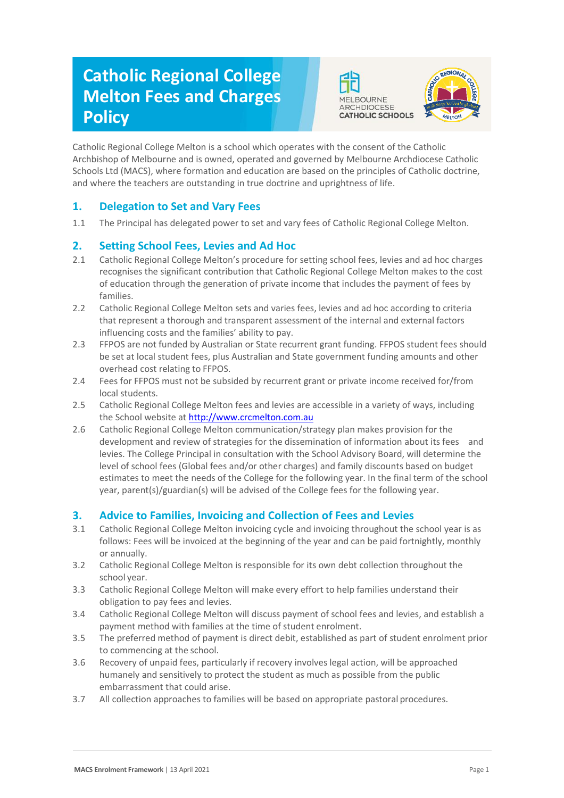# **Catholic Regional College Melton Fees and Charges Policy**





Catholic Regional College Melton is a school which operates with the consent of the Catholic Archbishop of Melbourne and is owned, operated and governed by Melbourne Archdiocese Catholic Schools Ltd (MACS), where formation and education are based on the principles of Catholic doctrine, and where the teachers are outstanding in true doctrine and uprightness of life.

## **1. Delegation to Set and Vary Fees**

1.1 The Principal has delegated power to set and vary fees of Catholic Regional College Melton.

### **2. Setting School Fees, Levies and Ad Hoc**

- 2.1 Catholic Regional College Melton's procedure for setting school fees, levies and ad hoc charges recognises the significant contribution that Catholic Regional College Melton makes to the cost of education through the generation of private income that includes the payment of fees by families.
- 2.2 Catholic Regional College Melton sets and varies fees, levies and ad hoc according to criteria that represent a thorough and transparent assessment of the internal and external factors influencing costs and the families' ability to pay.
- 2.3 FFPOS are not funded by Australian or State recurrent grant funding. FFPOS student fees should be set at local student fees, plus Australian and State government funding amounts and other overhead cost relating to FFPOS.
- 2.4 Fees for FFPOS must not be subsided by recurrent grant or private income received for/from local students.
- 2.5 Catholic Regional College Melton fees and levies are accessible in a variety of ways, including the School website at [http://www.crcmelton.com.au](http://www.crcmelton.com.au/)
- 2.6 Catholic Regional College Melton communication/strategy plan makes provision for the development and review of strategies for the dissemination of information about its fees and levies. The College Principal in consultation with the School Advisory Board, will determine the level of school fees (Global fees and/or other charges) and family discounts based on budget estimates to meet the needs of the College for the following year. In the final term of the school year, parent(s)/guardian(s) will be advised of the College fees for the following year.

#### **3. Advice to Families, Invoicing and Collection of Fees and Levies**

- 3.1 Catholic Regional College Melton invoicing cycle and invoicing throughout the school year is as follows: Fees will be invoiced at the beginning of the year and can be paid fortnightly, monthly or annually.
- 3.2 Catholic Regional College Melton is responsible for its own debt collection throughout the school year.
- 3.3 Catholic Regional College Melton will make every effort to help families understand their obligation to pay fees and levies.
- 3.4 Catholic Regional College Melton will discuss payment of school fees and levies, and establish a payment method with families at the time of student enrolment.
- 3.5 The preferred method of payment is direct debit, established as part of student enrolment prior to commencing at the school.
- 3.6 Recovery of unpaid fees, particularly if recovery involves legal action, will be approached humanely and sensitively to protect the student as much as possible from the public embarrassment that could arise.
- 3.7 All collection approaches to families will be based on appropriate pastoral procedures.